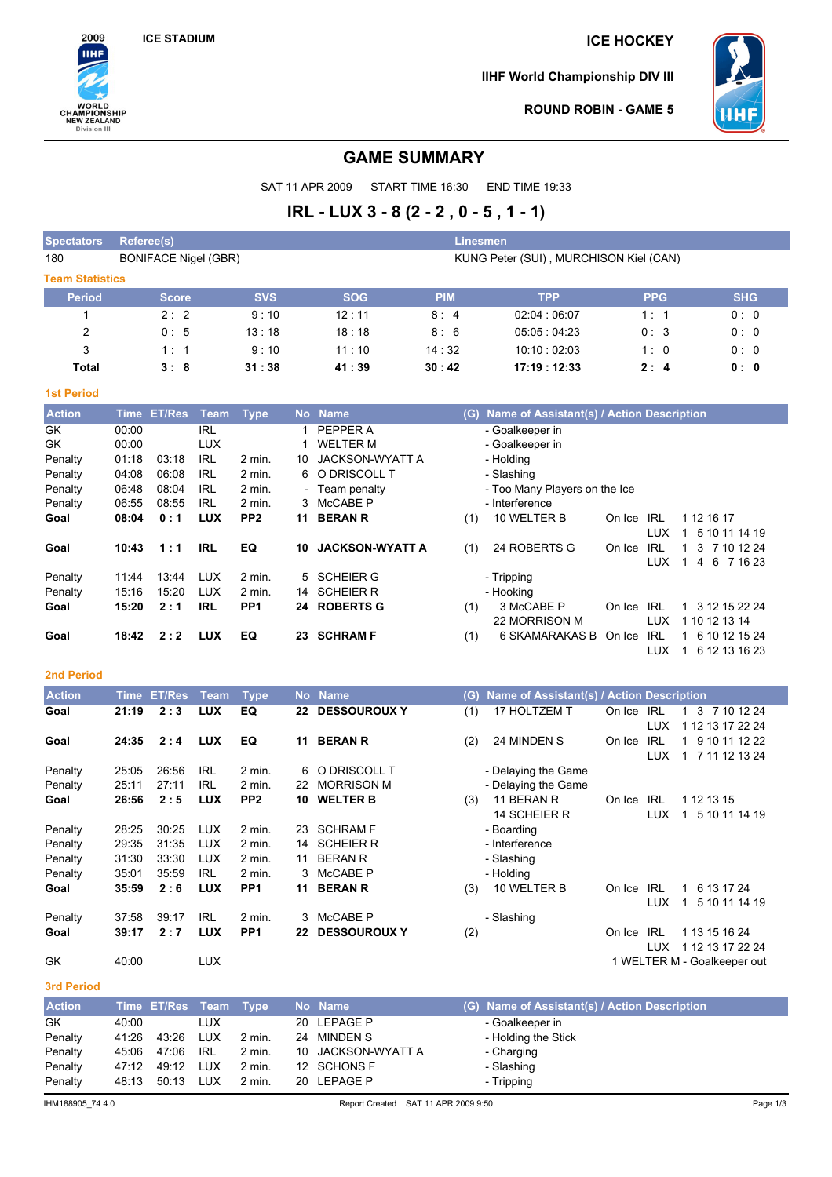2009 **IIHF** 

**WORLD<br>CHAMPIONSHIP<br>NEW ZEALAND<br>Division III** 

# **ICE STADIUM ICE HOCKEY**

**IIHF World Championship DIV III**



**ROUND ROBIN - GAME 5**

### **GAME SUMMARY**

SAT 11 APR 2009 START TIME 16:30 END TIME 19:33

# **IRL - LUX 3 - 8 (2 - 2 , 0 - 5 , 1 - 1)**

| <b>Spectators</b>      | Referee(s)<br><b>Linesmen</b>                                         |            |            |            |             |            |            |  |  |  |  |
|------------------------|-----------------------------------------------------------------------|------------|------------|------------|-------------|------------|------------|--|--|--|--|
| 180                    | <b>BONIFACE Nigel (GBR)</b><br>KUNG Peter (SUI), MURCHISON Kiel (CAN) |            |            |            |             |            |            |  |  |  |  |
| <b>Team Statistics</b> |                                                                       |            |            |            |             |            |            |  |  |  |  |
| <b>Period</b>          | <b>Score</b>                                                          | <b>SVS</b> | <b>SOG</b> | <b>PIM</b> | <b>TPP</b>  | <b>PPG</b> | <b>SHG</b> |  |  |  |  |
|                        | 2:2                                                                   | 9:10       | 12:11      | 8:4        | 02:04:06:07 | 1:1        | 0:0        |  |  |  |  |
| 2                      | 0:5                                                                   | 13:18      | 18:18      | 8:6        | 05:05:04:23 | 0:3        | 0:0        |  |  |  |  |
| 3                      | 1:1                                                                   | 9:10       | 11:10      | 14:32      | 10:10:02:03 | 1:0        | 0:0        |  |  |  |  |
| <b>Total</b>           | 3:8                                                                   | 31:38      | 41:39      | 30:42      | 17:19:12:33 | 2:4        | 0: 0       |  |  |  |  |
|                        |                                                                       |            |            |            |             |            |            |  |  |  |  |

### **1st Period**

| <b>Action</b> | Time  | <b>ET/Res</b> | Team       | <b>Type</b>       |    | No Name                | (G) | Name of Assistant(s) / Action Description |        |            |                      |
|---------------|-------|---------------|------------|-------------------|----|------------------------|-----|-------------------------------------------|--------|------------|----------------------|
| GK            | 00:00 |               | <b>IRL</b> |                   |    | PEPPER A               |     | - Goalkeeper in                           |        |            |                      |
| GK            | 00:00 |               | <b>LUX</b> |                   |    | <b>WELTER M</b>        |     | - Goalkeeper in                           |        |            |                      |
| Penalty       | 01:18 | 03:18         | IRL        | 2 min.            | 10 | JACKSON-WYATT A        |     | - Holding                                 |        |            |                      |
| Penalty       | 04:08 | 06:08         | <b>IRL</b> | $2$ min.          |    | 6 O DRISCOLL T         |     | - Slashing                                |        |            |                      |
| Penalty       | 06:48 | 08:04         | <b>IRL</b> | 2 min.            |    | - Team penalty         |     | - Too Many Players on the Ice             |        |            |                      |
| Penalty       | 06:55 | 08:55         | <b>IRL</b> | 2 min.            |    | 3 McCABE P             |     | - Interference                            |        |            |                      |
| Goal          | 08:04 | 0:1           | <b>LUX</b> | PP <sub>2</sub>   | 11 | <b>BERAN R</b>         | (1) | 10 WELTER B                               | On Ice | IRL        | 1 12 16 17           |
|               |       |               |            |                   |    |                        |     |                                           |        | LUX        | 5 10 11 14 19<br>1.  |
| Goal          | 10:43 | 1:1           | IRL        | EQ                | 10 | <b>JACKSON-WYATT A</b> | (1) | 24 ROBERTS G                              | On Ice | IRL        | 3<br>7 10 12 24<br>1 |
|               |       |               |            |                   |    |                        |     |                                           |        | LUX        | 6 7 1 6 2 3<br>4     |
| Penalty       | 11:44 | 13:44         | <b>LUX</b> | $2$ min.          |    | 5 SCHEIER G            |     | - Tripping                                |        |            |                      |
| Penalty       | 15:16 | 15:20         | <b>LUX</b> | $2 \text{ min}$ . | 14 | <b>SCHEIER R</b>       |     | - Hooking                                 |        |            |                      |
| Goal          | 15:20 | 2:1           | IRL        | PP <sub>1</sub>   |    | 24 ROBERTS G           | (1) | 3 McCABE P                                | On Ice | IRL        | 1 3 12 15 22 24      |
|               |       |               |            |                   |    |                        |     | 22 MORRISON M                             |        | LUX        | 1 10 12 13 14        |
| Goal          | 18:42 | 2:2           | <b>LUX</b> | EQ                |    | 23 SCHRAM F            | (1) | 6 SKAMARAKAS B                            | On Ice | <b>IRL</b> | 6 10 12 15 24        |
|               |       |               |            |                   |    |                        |     |                                           |        | LUX        | 6 12 13 16 23        |

#### **2nd Period**

| <b>Action</b> | Time  | <b>ET/Res</b> | <b>Team</b> | <b>Type</b>       |    | No Name             | (G) | Name of Assistant(s) / Action Description |        |            |                                     |
|---------------|-------|---------------|-------------|-------------------|----|---------------------|-----|-------------------------------------------|--------|------------|-------------------------------------|
| Goal          | 21:19 | 2:3           | <b>LUX</b>  | EQ                | 22 | <b>DESSOUROUX Y</b> | (1) | 17 HOLTZEM T                              | On Ice | IRL<br>LUX | 7 10 12 24<br>3<br>1 12 13 17 22 24 |
| Goal          | 24:35 | 2:4           | <b>LUX</b>  | EQ                | 11 | <b>BERAN R</b>      | (2) | 24 MINDEN S                               | On Ice | IRL<br>LUX | 9 10 11 12 22<br>7 11 12 13 24      |
| Penalty       | 25:05 | 26:56         | IRL         | 2 min.            |    | 6 O DRISCOLL T      |     | - Delaying the Game                       |        |            |                                     |
| Penalty       | 25:11 | 27:11         | IRL         | 2 min.            | 22 | <b>MORRISON M</b>   |     | - Delaying the Game                       |        |            |                                     |
| Goal          | 26:56 | 2:5           | <b>LUX</b>  | PP <sub>2</sub>   | 10 | <b>WELTER B</b>     | (3) | 11 BERAN R                                | On Ice | IRL        | 1 12 13 15                          |
|               |       |               |             |                   |    |                     |     | 14 SCHEIER R                              |        | LUX        | 5 10 11 14 19                       |
| Penalty       | 28:25 | 30:25         | <b>LUX</b>  | $2$ min.          | 23 | <b>SCHRAM F</b>     |     | - Boarding                                |        |            |                                     |
| Penalty       | 29:35 | 31:35         | <b>LUX</b>  | 2 min.            |    | 14 SCHEIER R        |     | - Interference                            |        |            |                                     |
| Penalty       | 31:30 | 33:30         | <b>LUX</b>  | $2 \text{ min}$ . | 11 | <b>BERAN R</b>      |     | - Slashing                                |        |            |                                     |
| Penalty       | 35:01 | 35:59         | <b>IRL</b>  | 2 min.            |    | 3 McCABE P          |     | - Holding                                 |        |            |                                     |
| Goal          | 35:59 | 2:6           | <b>LUX</b>  | PP <sub>1</sub>   | 11 | <b>BERAN R</b>      | (3) | 10 WELTER B                               | On Ice | <b>IRL</b> | 6 13 17 24<br>1                     |
|               |       |               |             |                   |    |                     |     |                                           |        | LUX        | 5 10 11 14 19                       |
| Penalty       | 37:58 | 39:17         | IRL         | $2$ min.          |    | 3 McCABE P          |     | - Slashing                                |        |            |                                     |
| Goal          | 39:17 | 2:7           | <b>LUX</b>  | PP <sub>1</sub>   | 22 | <b>DESSOUROUX Y</b> | (2) |                                           | On Ice | IRL        | 1 13 15 16 24                       |
|               |       |               |             |                   |    |                     |     |                                           |        | LUX        | 1 12 13 17 22 24                    |
| GK            | 40:00 |               | <b>LUX</b>  |                   |    |                     |     |                                           |        |            | 1 WELTER M - Goalkeeper out         |

### **3rd Period**

| <b>Action</b> |       | Time ET/Res Team Type |            |          | No Name            | (G) Name of Assistant(s) / Action Description |
|---------------|-------|-----------------------|------------|----------|--------------------|-----------------------------------------------|
| GK            | 40:00 |                       | LUX        |          | 20 LEPAGE P        | - Goalkeeper in                               |
| Penalty       | 41:26 | 43:26 .               | <b>LUX</b> | 2 min.   | 24 MINDEN S        | - Holding the Stick                           |
| Penalty       |       | 45:06  47:06  IRL     |            | 2 min.   | 10 JACKSON-WYATT A | - Charging                                    |
| Penalty       |       | 47:12  49:12  LUX     |            | $2$ min. | 12 SCHONS F        | - Slashing                                    |
| Penalty       | 48:13 | 50:13 LUX             |            | $2$ min. | 20 LEPAGE P        | - Tripping                                    |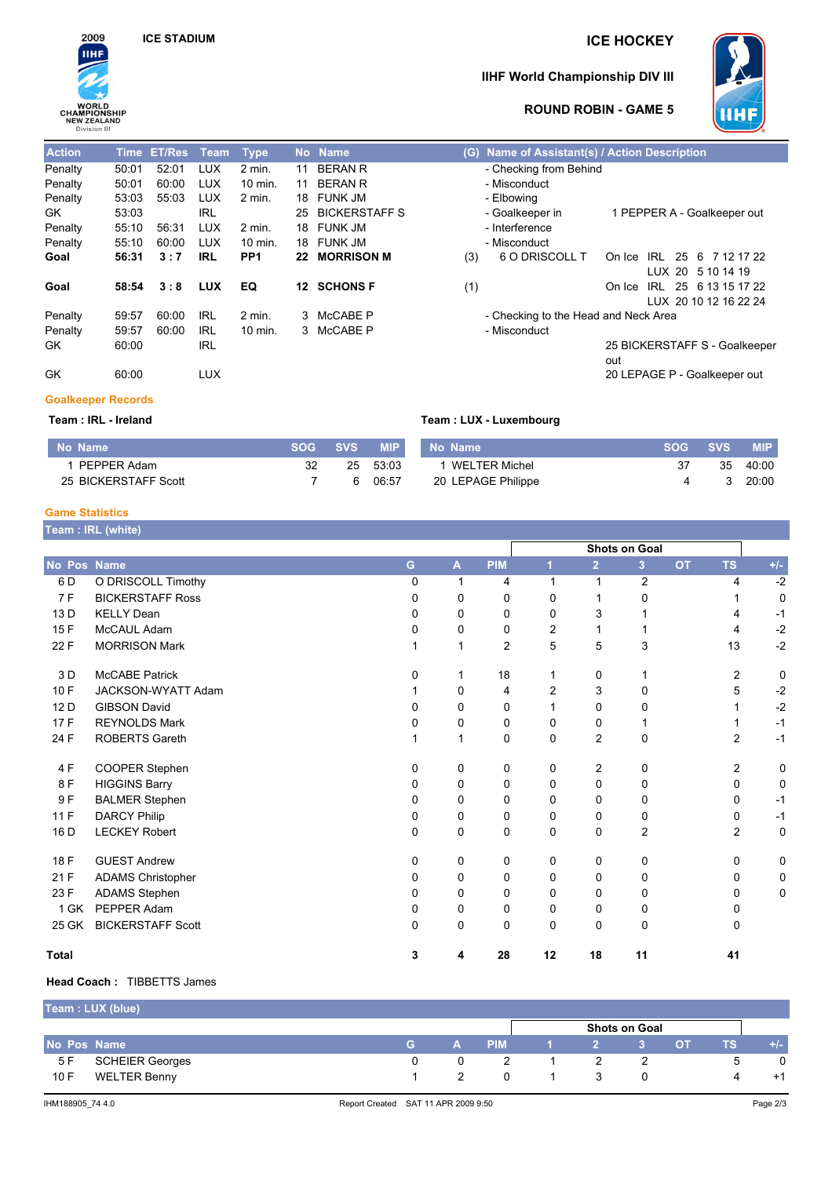

# **ICE STADIUM ICE HOCKEY**

### **IIHF World Championship DIV III**



### **ROUND ROBIN - GAME 5**

| <b>Action</b> | Time  | <b>ET/Res</b> Team |            | <b>Type</b>       | No. | <b>Name</b>          | (G) Name of Assistant(s) / Action Description |                                     |
|---------------|-------|--------------------|------------|-------------------|-----|----------------------|-----------------------------------------------|-------------------------------------|
| Penalty       | 50:01 | 52:01              | <b>LUX</b> | 2 min.            | 11  | <b>BERAN R</b>       | - Checking from Behind                        |                                     |
| Penalty       | 50:01 | 60:00              | LUX        | 10 min.           | 11  | <b>BERAN R</b>       | - Misconduct                                  |                                     |
| Penalty       | 53:03 | 55:03              | <b>LUX</b> | $2 \text{ min}$ . | 18. | <b>FUNK JM</b>       | - Elbowing                                    |                                     |
| GK            | 53:03 |                    | IRL        |                   | 25  | <b>BICKERSTAFF S</b> | - Goalkeeper in                               | 1 PEPPER A - Goalkeeper out         |
| Penalty       | 55:10 | 56:31              | LUX        | 2 min.            | 18  | <b>FUNK JM</b>       | - Interference                                |                                     |
| Penalty       | 55:10 | 60:00              | <b>LUX</b> | 10 min.           | 18  | <b>FUNK JM</b>       | - Misconduct                                  |                                     |
| Goal          | 56:31 | 3:7                | <b>IRL</b> | PP <sub>1</sub>   | 22  | <b>MORRISON M</b>    | 6 O DRISCOLL T<br>(3)                         | IRL<br>25<br>6 7 12 17 22<br>On Ice |
|               |       |                    |            |                   |     |                      |                                               | LUX 20 5 10 14 19                   |
| Goal          | 58:54 | 3:8                | <b>LUX</b> | EQ                | 12  | <b>SCHONS F</b>      | (1)                                           | 25 6 13 15 17 22<br>IRL.<br>On Ice  |
|               |       |                    |            |                   |     |                      |                                               | LUX 20 10 12 16 22 24               |
| Penalty       | 59:57 | 60:00              | IRL        | 2 min.            |     | 3 McCABE P           | - Checking to the Head and Neck Area          |                                     |
| Penalty       | 59:57 | 60:00              | IRL        | 10 min.           |     | 3 McCABE P           | - Misconduct                                  |                                     |
| GK            | 60:00 |                    | IRL        |                   |     |                      |                                               | 25 BICKERSTAFF S - Goalkeeper       |
|               |       |                    |            |                   |     |                      |                                               | out                                 |
| GK            | 60:00 |                    | LUX        |                   |     |                      |                                               | 20 LEPAGE P - Goalkeeper out        |

| - Checking from Behind               |                               |                       |  |  |  |
|--------------------------------------|-------------------------------|-----------------------|--|--|--|
| - Misconduct                         |                               |                       |  |  |  |
| - Elbowing                           |                               |                       |  |  |  |
| - Goalkeeper in                      | 1 PEPPER A - Goalkeeper out   |                       |  |  |  |
| - Interference                       |                               |                       |  |  |  |
| - Misconduct                         |                               |                       |  |  |  |
| 6 O DRISCOLL T                       | On Ice IRL 25 6 7 12 17 22    |                       |  |  |  |
|                                      |                               | LUX 20 5 10 14 19     |  |  |  |
|                                      | On Ice IRL 25 6 13 15 17 22   |                       |  |  |  |
|                                      |                               | LUX 20 10 12 16 22 24 |  |  |  |
| - Checking to the Head and Neck Area |                               |                       |  |  |  |
| - Misconduct                         |                               |                       |  |  |  |
|                                      | 25 BICKERSTAFF S - Goalkeeper |                       |  |  |  |
|                                      | out                           |                       |  |  |  |
|                                      | 20 LEPAGE P - Goalkeeper out  |                       |  |  |  |

#### **Goalkeeper Records**

### **Team : IRL - Ireland Team : LUX - Luxembourg**

| No Name              | <b>SOG</b> | <b>SVS</b> | <b>MIP</b> | No Name            | <b>SOG</b> | <b>SVS</b> | <b>MIP</b> |
|----------------------|------------|------------|------------|--------------------|------------|------------|------------|
| PEPPER Adam          |            | 25         | 53:03      | 1 WELTER Michel    |            | 35         | 40:00      |
| 25 BICKERSTAFF Scott |            |            | 06:57      | 20 LEPAGE Philippe |            |            | 20:00      |

#### **Game Statistics Team : IRL (white)**

|              | $1$ can $\cdot$ $1$ $\sim$ $\sim$ $\sim$ $\sim$ $\sim$ |             |   |                |                |                |                      |           |                |       |
|--------------|--------------------------------------------------------|-------------|---|----------------|----------------|----------------|----------------------|-----------|----------------|-------|
|              |                                                        |             |   |                |                |                | <b>Shots on Goal</b> |           |                |       |
| No Pos Name  |                                                        | G.          | A | <b>PIM</b>     |                | $\overline{2}$ | 3 <sup>2</sup>       | <b>OT</b> | <b>TS</b>      | $+/-$ |
| 6 D          | O DRISCOLL Timothy                                     | $\mathbf 0$ |   | 4              | 1              | 1              | $\overline{2}$       |           | 4              | $-2$  |
| 7F           | <b>BICKERSTAFF Ross</b>                                | 0           | 0 | 0              | 0              |                | 0                    |           |                | 0     |
| 13 D         | <b>KELLY Dean</b>                                      | 0           | 0 | 0              | 0              | 3              |                      |           |                | $-1$  |
| 15F          | McCAUL Adam                                            | 0           | 0 | 0              | $\overline{c}$ | 1              |                      |           | 4              | $-2$  |
| 22F          | <b>MORRISON Mark</b>                                   |             |   | $\overline{c}$ | 5              | 5              | 3                    |           | 13             | $-2$  |
| 3 D          | <b>McCABE Patrick</b>                                  | 0           | 1 | 18             | 1              | 0              | 1                    |           | $\overline{2}$ | 0     |
| 10F          | <b>JACKSON-WYATT Adam</b>                              |             | 0 | 4              | 2              | 3              | 0                    |           | 5              | $-2$  |
| 12 D         | <b>GIBSON David</b>                                    | 0           | 0 | 0              | 1              | 0              | 0                    |           |                | $-2$  |
| 17F          | <b>REYNOLDS Mark</b>                                   | 0           | 0 | 0              | $\Omega$       | 0              |                      |           |                | $-1$  |
| 24 F         | ROBERTS Gareth                                         |             |   | 0              | $\mathbf 0$    | $\overline{c}$ | 0                    |           | $\overline{2}$ | $-1$  |
| 4 F          | COOPER Stephen                                         | 0           | 0 | 0              | 0              | $\overline{2}$ | 0                    |           | $\overline{2}$ | 0     |
| 8F           | <b>HIGGINS Barry</b>                                   | 0           | 0 | 0              | 0              | 0              | 0                    |           | 0              | 0     |
| 9F           | <b>BALMER Stephen</b>                                  | 0           | 0 | 0              | 0              | 0              | 0                    |           | 0              | $-1$  |
| 11F          | <b>DARCY Philip</b>                                    | 0           | 0 | 0              | 0              | 0              | 0                    |           | 0              | $-1$  |
| 16 D         | <b>LECKEY Robert</b>                                   | $\Omega$    | 0 | 0              | $\Omega$       | 0              | $\overline{2}$       |           | $\overline{2}$ | 0     |
| 18 F         | <b>GUEST Andrew</b>                                    | 0           | 0 | 0              | 0              | 0              | 0                    |           | 0              | 0     |
| 21 F         | <b>ADAMS Christopher</b>                               | 0           | 0 | 0              | 0              | 0              | 0                    |           | 0              | 0     |
| 23 F         | <b>ADAMS Stephen</b>                                   | 0           | 0 | 0              | 0              | 0              | 0                    |           | 0              | 0     |
| 1 GK         | PEPPER Adam                                            | 0           | 0 | 0              | 0              | 0              | 0                    |           |                |       |
| 25 GK        | <b>BICKERSTAFF Scott</b>                               | 0           | 0 | 0              | $\Omega$       | 0              | 0                    |           | 0              |       |
| <b>Total</b> |                                                        | 3           | 4 | 28             | 12             | 18             | 11                   |           | 41             |       |

### **Head Coach :** TIBBETTS James

|             | Team: LUX (blue)       |    |              |                      |  |  |           |    |       |
|-------------|------------------------|----|--------------|----------------------|--|--|-----------|----|-------|
|             |                        |    |              | <b>Shots on Goal</b> |  |  |           |    |       |
| No Pos Name |                        | G. | <b>A</b> PIM | - 1 -                |  |  | <b>OT</b> | ΤS | $+/-$ |
| 5 F         | <b>SCHEIER Georges</b> |    |              |                      |  |  |           |    | 0     |
| 10 F        | <b>WELTER Benny</b>    |    |              |                      |  |  |           |    | $+1$  |